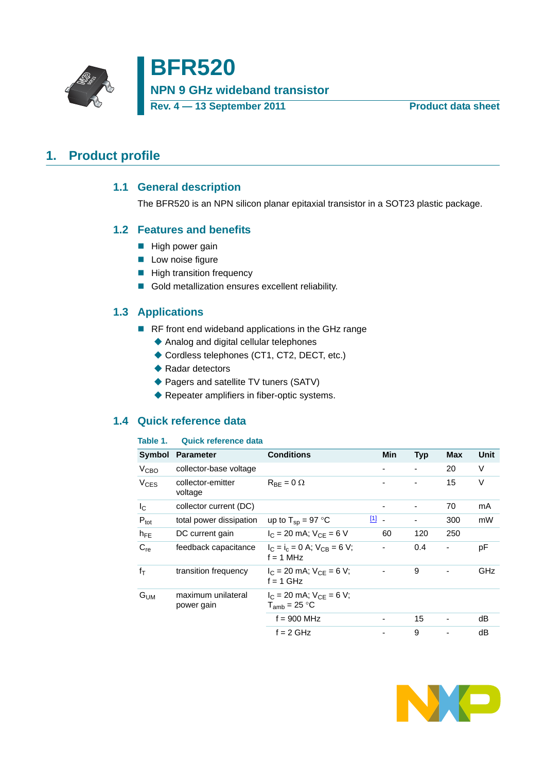

**BFR520 NPN 9 GHz wideband transistor Rev. 4 — 13 September 2011 Product data sheet**

## <span id="page-0-1"></span><span id="page-0-0"></span>**1. Product profile**

## **1.1 General description**

The BFR520 is an NPN silicon planar epitaxial transistor in a SOT23 plastic package.

#### <span id="page-0-2"></span>**1.2 Features and benefits**

- $\blacksquare$  High power gain
- $\blacksquare$  Low noise figure
- **High transition frequency**
- Gold metallization ensures excellent reliability.

## <span id="page-0-3"></span>**1.3 Applications**

- RF front end wideband applications in the GHz range
	- Analog and digital cellular telephones
	- ◆ Cordless telephones (CT1, CT2, DECT, etc.)
	- ◆ Radar detectors
	- ◆ Pagers and satellite TV tuners (SATV)
	- ◆ Repeater amplifiers in fiber-optic systems.

## <span id="page-0-4"></span>**1.4 Quick reference data**

#### **Table 1. Quick reference data**

| Symbol                 | <b>Parameter</b>                 | <b>Conditions</b>                                   |     | Min | <b>Typ</b> | <b>Max</b> | Unit   |
|------------------------|----------------------------------|-----------------------------------------------------|-----|-----|------------|------------|--------|
| V <sub>CBO</sub>       | collector-base voltage           |                                                     |     |     | ٠          | 20         | $\vee$ |
| <b>V<sub>CES</sub></b> | collector-emitter<br>voltage     | $R_{BF} = 0 \Omega$                                 |     |     |            | 15         | V      |
| $I_{\rm C}$            | collector current (DC)           |                                                     |     |     |            | 70         | mA     |
| $P_{\text{tot}}$       | total power dissipation          | up to $T_{\text{sp}} = 97 \text{ °C}$               | 凹 - |     | ۰          | 300        | mW     |
| $h_{FE}$               | DC current gain                  | $I_C = 20$ mA; $V_{CE} = 6$ V                       |     | 60  | 120        | 250        |        |
| $C_{re}$               | feedback capacitance             | $I_C = I_C = 0$ A; $V_{CB} = 6$ V;<br>$f = 1$ MHz   |     |     | 0.4        |            | рF     |
| fт                     | transition frequency             | $I_C = 20$ mA; $V_{CF} = 6$ V;<br>$f = 1$ GHz       |     |     | 9          |            | GHz    |
| G <sub>UM</sub>        | maximum unilateral<br>power gain | $I_C = 20$ mA; $V_{CE} = 6$ V;<br>$T_{amb}$ = 25 °C |     |     |            |            |        |
|                        |                                  | $f = 900$ MHz                                       |     |     | 15         |            | dB     |
|                        |                                  | $f = 2$ GHz                                         |     |     | 9          |            | dB     |

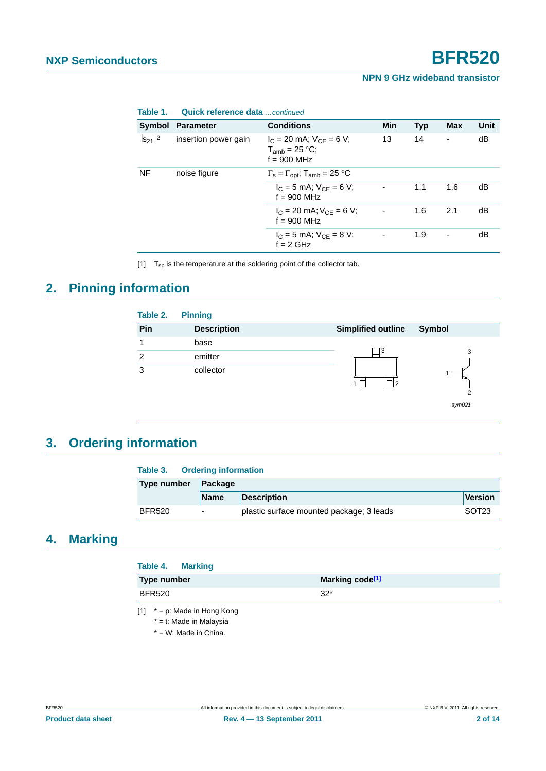| Symbol Parameter     | <b>Conditions</b>                                                     | <b>Min</b>                                   | <b>Typ</b> | <b>Max</b>     | Unit |
|----------------------|-----------------------------------------------------------------------|----------------------------------------------|------------|----------------|------|
| insertion power gain | $I_C = 20$ mA; $V_{CE} = 6$ V;<br>$T_{amb}$ = 25 °C;<br>$f = 900$ MHz | 13                                           | 14         |                | dB   |
| noise figure         | $\Gamma_{\rm s} = \Gamma_{\rm opt}$ ; T <sub>amb</sub> = 25 °C        |                                              |            |                |      |
|                      | $I_C = 5$ mA; $V_{CF} = 6$ V;<br>$f = 900$ MHz                        |                                              | 1.1        | 1.6            | dB   |
|                      | $I_C = 20$ mA; $V_{CE} = 6$ V;<br>$f = 900$ MHz                       | ٠                                            | 1.6        | 2.1            | dB   |
|                      | $I_C = 5$ mA; $V_{CE} = 8$ V;<br>$f = 2$ GHz                          |                                              | 1.9        | $\blacksquare$ | dB   |
|                      |                                                                       | <b>Quick reference data</b> <i>continued</i> |            |                |      |

**Table 1. Quick reference data** *…continued*

<span id="page-1-0"></span>[1]  $T_{sp}$  is the temperature at the soldering point of the collector tab.

## <span id="page-1-2"></span>**2. Pinning information**



*sym021*

## <span id="page-1-3"></span>**3. Ordering information**

| Table 3. Ordering information |             |                                          |                   |  |
|-------------------------------|-------------|------------------------------------------|-------------------|--|
| Type number                   | Package     |                                          |                   |  |
|                               | <b>Name</b> | <b>Description</b>                       | <b>Version</b>    |  |
| <b>BFR520</b>                 | -           | plastic surface mounted package; 3 leads | SOT <sub>23</sub> |  |

## <span id="page-1-4"></span>**4. Marking**

| Table 4. Marking |                             |
|------------------|-----------------------------|
| Type number      | Marking code <sup>[1]</sup> |
| <b>BFR520</b>    | $32*$                       |
|                  |                             |

<span id="page-1-1"></span>[1]  $* = p$ : Made in Hong Kong

- \* = t: Made in Malaysia
- \* = W: Made in China.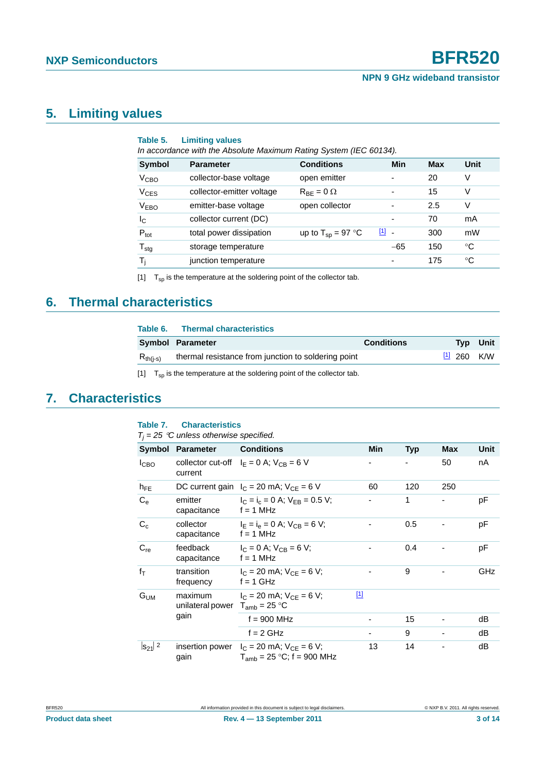## <span id="page-2-1"></span>**5. Limiting values**

| Table 5.               | <b>Limiting values</b><br>In accordance with the Absolute Maximum Rating System (IEC 60134). |                        |       |     |      |
|------------------------|----------------------------------------------------------------------------------------------|------------------------|-------|-----|------|
| <b>Symbol</b>          | <b>Parameter</b>                                                                             | <b>Conditions</b>      | Min   | Max | Unit |
| V <sub>CBO</sub>       | collector-base voltage                                                                       | open emitter           | ٠     | 20  | V    |
| <b>V<sub>CES</sub></b> | collector-emitter voltage                                                                    | $R_{BF} = 0 \Omega$    | ۰     | 15  | V    |
| <b>VEBO</b>            | emitter-base voltage                                                                         | open collector         |       | 2.5 | V    |
| $I_{\rm C}$            | collector current (DC)                                                                       |                        |       | 70  | mA   |
| $P_{\text{tot}}$       | total power dissipation                                                                      | up to $T_{sp} = 97$ °C | $[1]$ | 300 | mW   |
| $T_{\text{stg}}$       | storage temperature                                                                          |                        | $-65$ | 150 | °C   |
| T,                     | junction temperature                                                                         |                        | ۰     | 175 | °C   |

[1]  $T_{sp}$  is the temperature at the soldering point of the collector tab.

## <span id="page-2-2"></span>**6. Thermal characteristics**

| Table 6. | <b>Thermal characteristics</b> |
|----------|--------------------------------|
|          |                                |

|               | Symbol Parameter                                    | <b>Conditions</b> | <b>Typ</b>  | Unit |
|---------------|-----------------------------------------------------|-------------------|-------------|------|
| $R_{th(i-s)}$ | thermal resistance from junction to soldering point |                   | $11260$ K/W |      |

<span id="page-2-0"></span>[1]  $T_{sp}$  is the temperature at the soldering point of the collector tab.

## <span id="page-2-3"></span>**7. Characteristics**

#### **Table 7. Characteristics** *Tj = 25 C unless otherwise specified.*

|                  | $H_1$ – 20 $\sigma$ annous official mode opposition. |                                                                                  |             |            |            |      |
|------------------|------------------------------------------------------|----------------------------------------------------------------------------------|-------------|------------|------------|------|
|                  | Symbol Parameter                                     | <b>Conditions</b>                                                                | Min         | <b>Typ</b> | <b>Max</b> | Unit |
| I <sub>CBO</sub> | current                                              | collector cut-off $I_E = 0$ A; $V_{CB} = 6$ V                                    |             |            | 50         | nA   |
| $h_{FE}$         |                                                      | DC current gain $I_C = 20$ mA; $V_{CF} = 6$ V                                    | 60          | 120        | 250        |      |
| $C_{\rm e}$      | emitter<br>capacitance                               | $I_C = I_C = 0$ A; $V_{FR} = 0.5$ V;<br>$f = 1$ MHz                              |             | 1          |            | рF   |
| $C_c$            | collector<br>capacitance                             | $I_F = I_B = 0$ A; $V_{CB} = 6$ V;<br>f = 1 MHz                                  |             | 0.5        |            | рF   |
| $C_{re}$         | feedback<br>capacitance                              | $I_C = 0$ A; $V_{CR} = 6$ V;<br>$f = 1$ MHz                                      |             | 0.4        |            | рF   |
| fт               | transition<br>frequency                              | $I_C = 20$ mA; $V_{CF} = 6$ V;<br>$f = 1$ GHz                                    |             | 9          |            | GHz  |
| $G_{UM}$         | maximum<br>unilateral power $T_{amb} = 25 °C$        | $I_C = 20$ mA; $V_{CF} = 6$ V;                                                   | $\boxed{1}$ |            |            |      |
|                  | gain                                                 | $f = 900$ MHz                                                                    |             | 15         |            | dB   |
|                  |                                                      | $f = 2$ GHz                                                                      |             | 9          |            | dB   |
| $ s_{21} ^2$     | gain                                                 | insertion power $I_C = 20$ mA; $V_{CF} = 6$ V;<br>$T_{amb}$ = 25 °C; f = 900 MHz | 13          | 14         |            | dB   |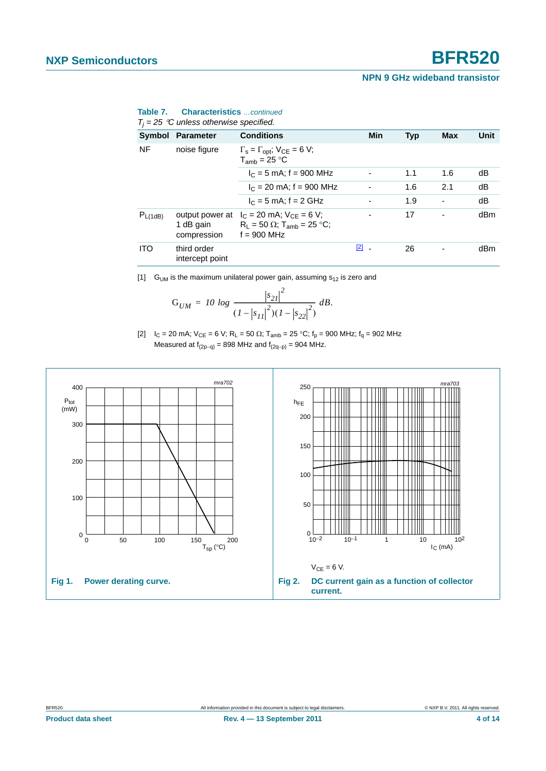|               | $T_i = 25$ °C unless otherwise specified.   |                                                                                                  |                          |            |                          |      |
|---------------|---------------------------------------------|--------------------------------------------------------------------------------------------------|--------------------------|------------|--------------------------|------|
| <b>Symbol</b> | <b>Parameter</b>                            | <b>Conditions</b>                                                                                | <b>Min</b>               | <b>Typ</b> | Max                      | Unit |
| NF            | noise figure                                | $\Gamma_{\rm s} = \Gamma_{\rm opt}$ ; $V_{\rm CE} = 6$ V;<br>$T_{amb}$ = 25 °C                   |                          |            |                          |      |
|               |                                             | $I_C = 5$ mA; f = 900 MHz                                                                        |                          | 1.1        | 1.6                      | dB   |
|               |                                             | $I_C = 20$ mA; f = 900 MHz                                                                       |                          | 1.6        | 2.1                      | dB   |
|               |                                             | $I_C = 5$ mA; $f = 2$ GHz                                                                        |                          | 1.9        | ۰                        | dB   |
| $P_{L(1dB)}$  | output power at<br>1 dB gain<br>compression | $I_C = 20$ mA; $V_{CF} = 6$ V;<br>$R_1 = 50 \Omega$ ; T <sub>amb</sub> = 25 °C;<br>$f = 900$ MHz | $\overline{\phantom{a}}$ | 17         | $\overline{\phantom{a}}$ | dBm  |
| <b>ITO</b>    | third order<br>intercept point              |                                                                                                  | [2]                      | 26         |                          | dBm  |

| Table 7. | <b>Characteristics</b> continued                          |  |
|----------|-----------------------------------------------------------|--|
|          | $T = 25 \, \text{\textdegree}$ unless attenuing appointed |  |

<span id="page-3-0"></span>[1]  $G<sub>UM</sub>$  is the maximum unilateral power gain, assuming  $s<sub>12</sub>$  is zero and

$$
G_{UM} = 10 \log \frac{|s_{2I}|^2}{(1-|s_{II}|^2)(1-|s_{22}|^2)} dB.
$$

<span id="page-3-1"></span>[2]  $I_C = 20$  mA;  $V_{CE} = 6$  V; R<sub>L</sub> = 50  $\Omega$ ; T<sub>amb</sub> = 25 °C; f<sub>p</sub> = 900 MHz; f<sub>q</sub> = 902 MHz Measured at  $f_{(2p-q)} = 898$  MHz and  $f_{(2q-p)} = 904$  MHz.

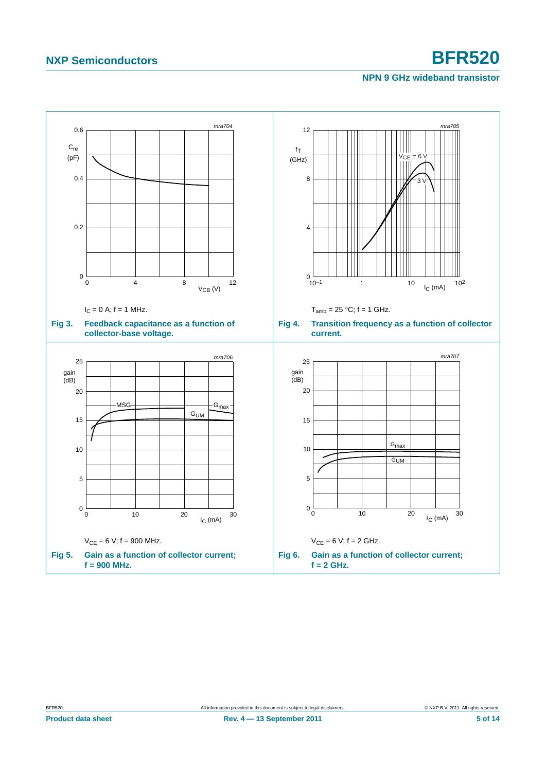# **NXP Semiconductors BFR520**

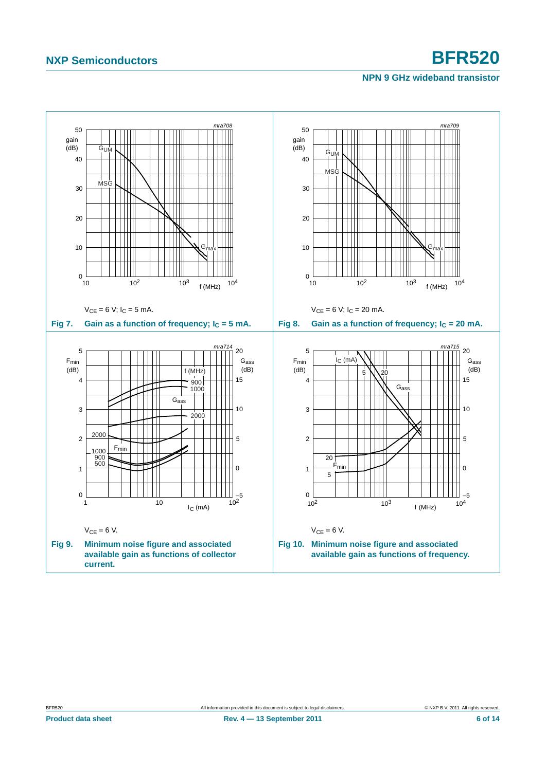# **NXP Semiconductors BFR520**

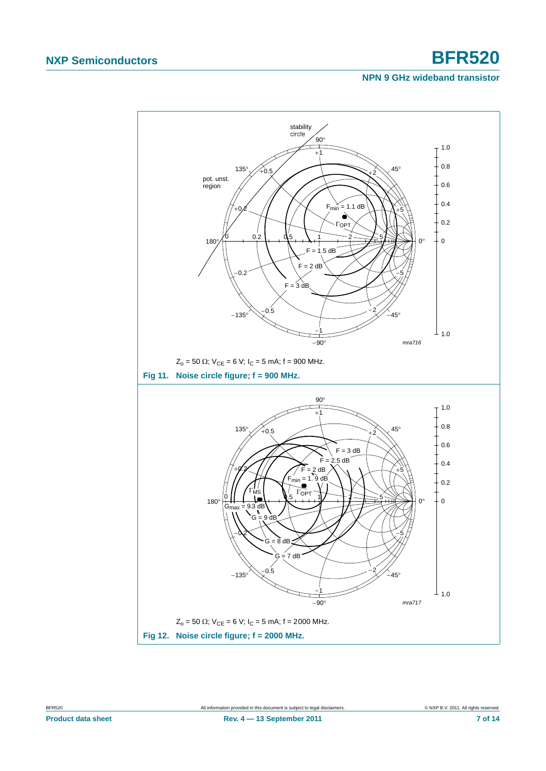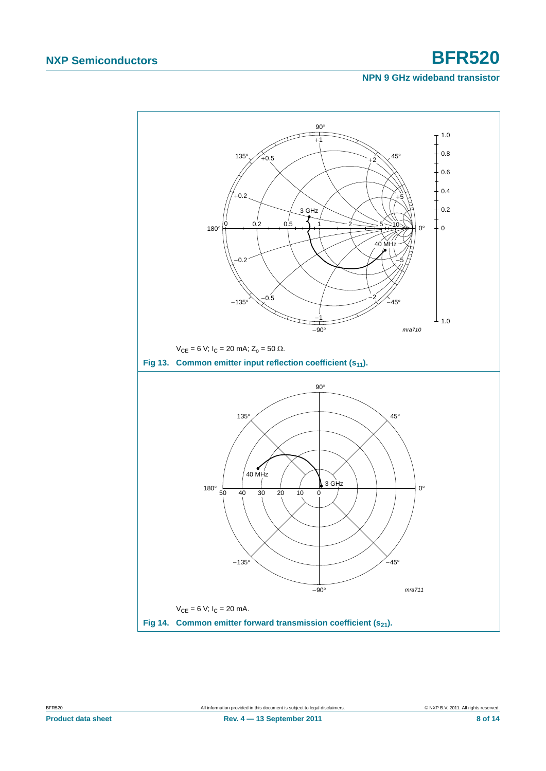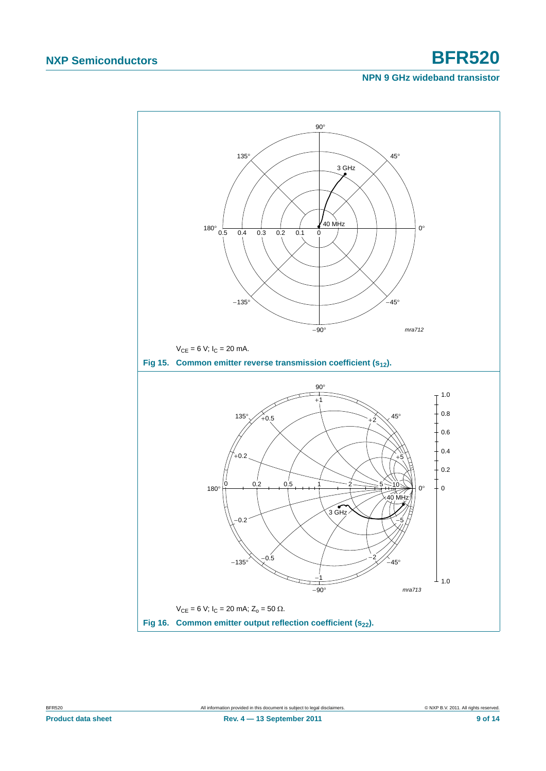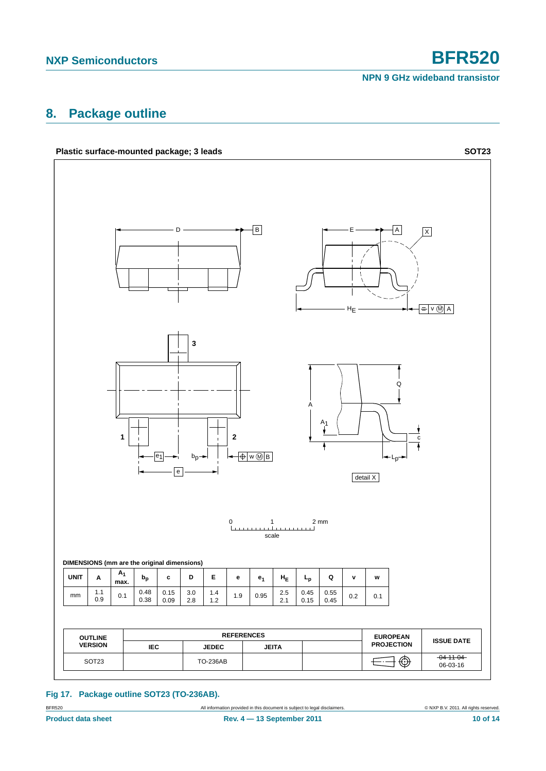## <span id="page-9-0"></span>**8. Package outline**



**Fig 17. Package outline SOT23 (TO-236AB).**

BFR520 All information provided in this document is subject to legal disclaimers. © NXP B.V. 2011. All rights reserved.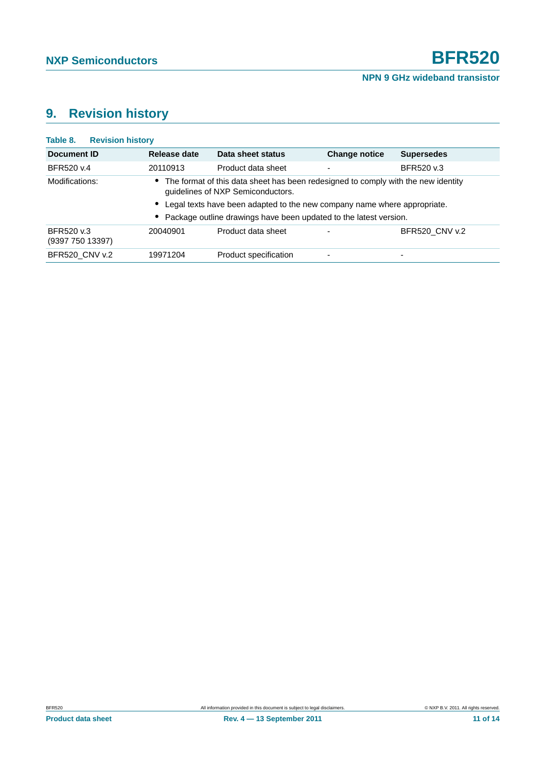## <span id="page-10-0"></span>**9. Revision history**

| <b>Revision history</b> |                       |                                   |                                                                                                                                                                                                                                    |
|-------------------------|-----------------------|-----------------------------------|------------------------------------------------------------------------------------------------------------------------------------------------------------------------------------------------------------------------------------|
| Release date            | Data sheet status     | <b>Change notice</b>              | <b>Supersedes</b>                                                                                                                                                                                                                  |
| 20110913                | Product data sheet    | $\blacksquare$                    | BFR520 v.3                                                                                                                                                                                                                         |
| $\bullet$               |                       |                                   |                                                                                                                                                                                                                                    |
|                         |                       |                                   |                                                                                                                                                                                                                                    |
|                         |                       |                                   |                                                                                                                                                                                                                                    |
| 20040901                | Product data sheet    |                                   | BFR520 CNV v.2                                                                                                                                                                                                                     |
| 19971204                | Product specification | $\overline{\phantom{a}}$          | $\overline{\phantom{0}}$                                                                                                                                                                                                           |
|                         |                       | guidelines of NXP Semiconductors. | The format of this data sheet has been redesigned to comply with the new identity<br>Legal texts have been adapted to the new company name where appropriate.<br>Package outline drawings have been updated to the latest version. |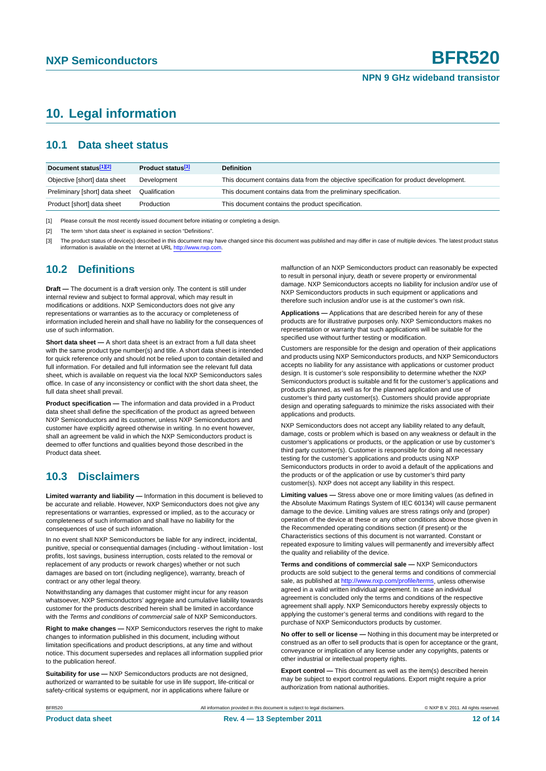## <span id="page-11-0"></span>**10. Legal information**

#### <span id="page-11-1"></span>**10.1 Data sheet status**

| Document status[1][2]          | Product status <sup>[3]</sup> | <b>Definition</b>                                                                     |
|--------------------------------|-------------------------------|---------------------------------------------------------------------------------------|
| Objective [short] data sheet   | Development                   | This document contains data from the objective specification for product development. |
| Preliminary [short] data sheet | Qualification                 | This document contains data from the preliminary specification.                       |
| Product [short] data sheet     | Production                    | This document contains the product specification.                                     |

[1] Please consult the most recently issued document before initiating or completing a design.

[2] The term 'short data sheet' is explained in section "Definitions".

[3] The product status of device(s) described in this document may have changed since this document was published and may differ in case of multiple devices. The latest product status<br>information is available on the Intern

#### <span id="page-11-2"></span>**10.2 Definitions**

**Draft —** The document is a draft version only. The content is still under internal review and subject to formal approval, which may result in modifications or additions. NXP Semiconductors does not give any representations or warranties as to the accuracy or completeness of information included herein and shall have no liability for the consequences of use of such information.

**Short data sheet —** A short data sheet is an extract from a full data sheet with the same product type number(s) and title. A short data sheet is intended for quick reference only and should not be relied upon to contain detailed and full information. For detailed and full information see the relevant full data sheet, which is available on request via the local NXP Semiconductors sales office. In case of any inconsistency or conflict with the short data sheet, the full data sheet shall prevail.

**Product specification —** The information and data provided in a Product data sheet shall define the specification of the product as agreed between NXP Semiconductors and its customer, unless NXP Semiconductors and customer have explicitly agreed otherwise in writing. In no event however, shall an agreement be valid in which the NXP Semiconductors product is deemed to offer functions and qualities beyond those described in the Product data sheet.

#### <span id="page-11-3"></span>**10.3 Disclaimers**

**Limited warranty and liability —** Information in this document is believed to be accurate and reliable. However, NXP Semiconductors does not give any representations or warranties, expressed or implied, as to the accuracy or completeness of such information and shall have no liability for the consequences of use of such information.

In no event shall NXP Semiconductors be liable for any indirect, incidental, punitive, special or consequential damages (including - without limitation - lost profits, lost savings, business interruption, costs related to the removal or replacement of any products or rework charges) whether or not such damages are based on tort (including negligence), warranty, breach of contract or any other legal theory.

Notwithstanding any damages that customer might incur for any reason whatsoever, NXP Semiconductors' aggregate and cumulative liability towards customer for the products described herein shall be limited in accordance with the *Terms and conditions of commercial sale* of NXP Semiconductors.

**Right to make changes —** NXP Semiconductors reserves the right to make changes to information published in this document, including without limitation specifications and product descriptions, at any time and without notice. This document supersedes and replaces all information supplied prior to the publication hereof.

**Suitability for use —** NXP Semiconductors products are not designed, authorized or warranted to be suitable for use in life support, life-critical or safety-critical systems or equipment, nor in applications where failure or

malfunction of an NXP Semiconductors product can reasonably be expected to result in personal injury, death or severe property or environmental damage. NXP Semiconductors accepts no liability for inclusion and/or use of NXP Semiconductors products in such equipment or applications and therefore such inclusion and/or use is at the customer's own risk.

**Applications —** Applications that are described herein for any of these products are for illustrative purposes only. NXP Semiconductors makes no representation or warranty that such applications will be suitable for the specified use without further testing or modification.

Customers are responsible for the design and operation of their applications and products using NXP Semiconductors products, and NXP Semiconductors accepts no liability for any assistance with applications or customer product design. It is customer's sole responsibility to determine whether the NXP Semiconductors product is suitable and fit for the customer's applications and products planned, as well as for the planned application and use of customer's third party customer(s). Customers should provide appropriate design and operating safeguards to minimize the risks associated with their applications and products.

NXP Semiconductors does not accept any liability related to any default, damage, costs or problem which is based on any weakness or default in the customer's applications or products, or the application or use by customer's third party customer(s). Customer is responsible for doing all necessary testing for the customer's applications and products using NXP Semiconductors products in order to avoid a default of the applications and the products or of the application or use by customer's third party customer(s). NXP does not accept any liability in this respect.

**Limiting values —** Stress above one or more limiting values (as defined in the Absolute Maximum Ratings System of IEC 60134) will cause permanent damage to the device. Limiting values are stress ratings only and (proper) operation of the device at these or any other conditions above those given in the Recommended operating conditions section (if present) or the Characteristics sections of this document is not warranted. Constant or repeated exposure to limiting values will permanently and irreversibly affect the quality and reliability of the device.

**Terms and conditions of commercial sale —** NXP Semiconductors products are sold subject to the general terms and conditions of commercial sale, as published at<http://www.nxp.com/profile/terms>, unless otherwise agreed in a valid written individual agreement. In case an individual agreement is concluded only the terms and conditions of the respective agreement shall apply. NXP Semiconductors hereby expressly objects to applying the customer's general terms and conditions with regard to the purchase of NXP Semiconductors products by customer.

**No offer to sell or license —** Nothing in this document may be interpreted or construed as an offer to sell products that is open for acceptance or the grant, conveyance or implication of any license under any copyrights, patents or other industrial or intellectual property rights.

**Export control —** This document as well as the item(s) described herein may be subject to export control regulations. Export might require a prior authorization from national authorities.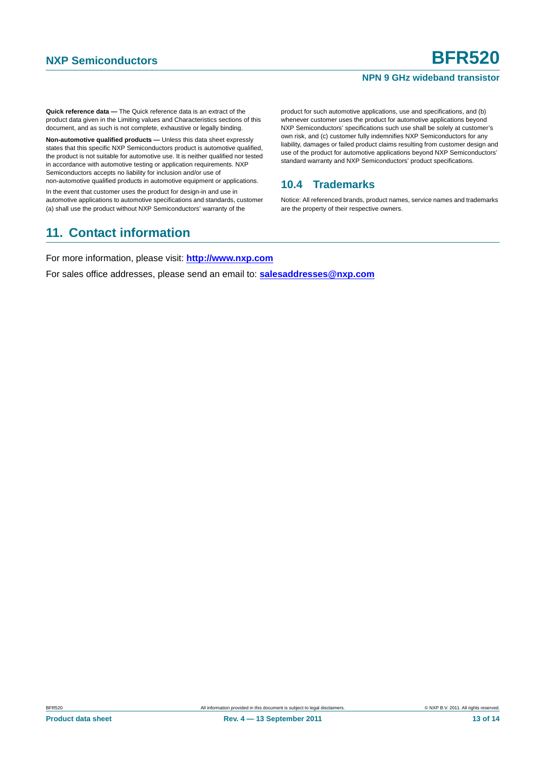**Quick reference data —** The Quick reference data is an extract of the product data given in the Limiting values and Characteristics sections of this document, and as such is not complete, exhaustive or legally binding.

**Non-automotive qualified products —** Unless this data sheet expressly states that this specific NXP Semiconductors product is automotive qualified, the product is not suitable for automotive use. It is neither qualified nor tested in accordance with automotive testing or application requirements. NXP Semiconductors accepts no liability for inclusion and/or use of non-automotive qualified products in automotive equipment or applications.

In the event that customer uses the product for design-in and use in automotive applications to automotive specifications and standards, customer (a) shall use the product without NXP Semiconductors' warranty of the

## <span id="page-12-1"></span>**11. Contact information**

product for such automotive applications, use and specifications, and (b) whenever customer uses the product for automotive applications beyond NXP Semiconductors' specifications such use shall be solely at customer's own risk, and (c) customer fully indemnifies NXP Semiconductors for any liability, damages or failed product claims resulting from customer design and use of the product for automotive applications beyond NXP Semiconductors' standard warranty and NXP Semiconductors' product specifications.

### <span id="page-12-0"></span>**10.4 Trademarks**

Notice: All referenced brands, product names, service names and trademarks are the property of their respective owners.

For more information, please visit: **http://www.nxp.com**

For sales office addresses, please send an email to: **salesaddresses@nxp.com**